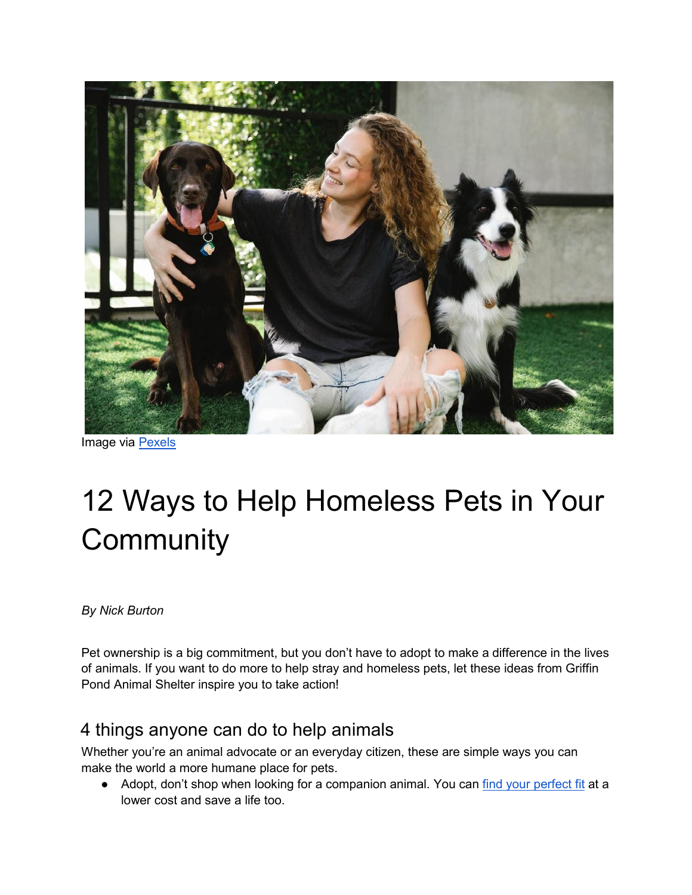

Image via [Pexels](https://www.pexels.com/photo/happy-owner-between-bird-dog-and-border-collie-on-meadow-7210349/)

## 12 Ways to Help Homeless Pets in Your **Community**

*By Nick Burton*

Pet ownership is a big commitment, but you don't have to adopt to make a difference in the lives of animals. If you want to do more to help stray and homeless pets, let these ideas from Griffin Pond Animal Shelter inspire you to take action!

## 4 things anyone can do to help animals

Whether you're an animal advocate or an everyday citizen, these are simple ways you can make the world a more humane place for pets.

● Adopt, don't shop when looking for a companion animal. You can [find your perfect fit](https://www.almonature.com/en/blog/adopt-dont-shop-7-reasons-to-adopt-a-shelter-dog/) at a lower cost and save a life too.